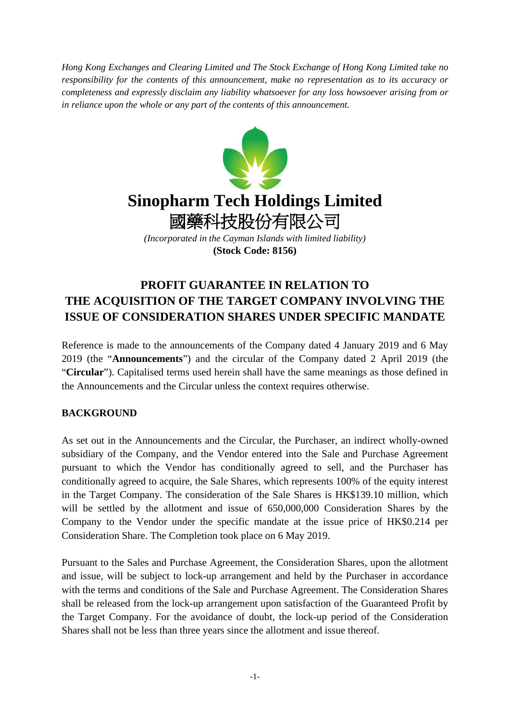*Hong Kong Exchanges and Clearing Limited and The Stock Exchange of Hong Kong Limited take no responsibility for the contents of this announcement, make no representation as to its accuracy or completeness and expressly disclaim any liability whatsoever for any loss howsoever arising from or in reliance upon the whole or any part of the contents of this announcement.*



# **Sinopharm Tech Holdings Limited** 國藥科技股份有限公司

*(Incorporated in the Cayman Islands with limited liability)* **(Stock Code: 8156)**

## **PROFIT GUARANTEE IN RELATION TO THE ACQUISITION OF THE TARGET COMPANY INVOLVING THE ISSUE OF CONSIDERATION SHARES UNDER SPECIFIC MANDATE**

Reference is made to the announcements of the Company dated 4 January 2019 and 6 May 2019 (the "**Announcements**") and the circular of the Company dated 2 April 2019 (the "**Circular**"). Capitalised terms used herein shall have the same meanings as those defined in the Announcements and the Circular unless the context requires otherwise.

### **BACKGROUND**

As set out in the Announcements and the Circular, the Purchaser, an indirect wholly-owned subsidiary of the Company, and the Vendor entered into the Sale and Purchase Agreement pursuant to which the Vendor has conditionally agreed to sell, and the Purchaser has conditionally agreed to acquire, the Sale Shares, which represents 100% of the equity interest in the Target Company. The consideration of the Sale Shares is HK\$139.10 million, which will be settled by the allotment and issue of 650,000,000 Consideration Shares by the Company to the Vendor under the specific mandate at the issue price of HK\$0.214 per Consideration Share. The Completion took place on 6 May 2019.

Pursuant to the Sales and Purchase Agreement, the Consideration Shares, upon the allotment and issue, will be subject to lock-up arrangement and held by the Purchaser in accordance with the terms and conditions of the Sale and Purchase Agreement. The Consideration Shares shall be released from the lock-up arrangement upon satisfaction of the Guaranteed Profit by the Target Company. For the avoidance of doubt, the lock-up period of the Consideration Shares shall not be less than three years since the allotment and issue thereof.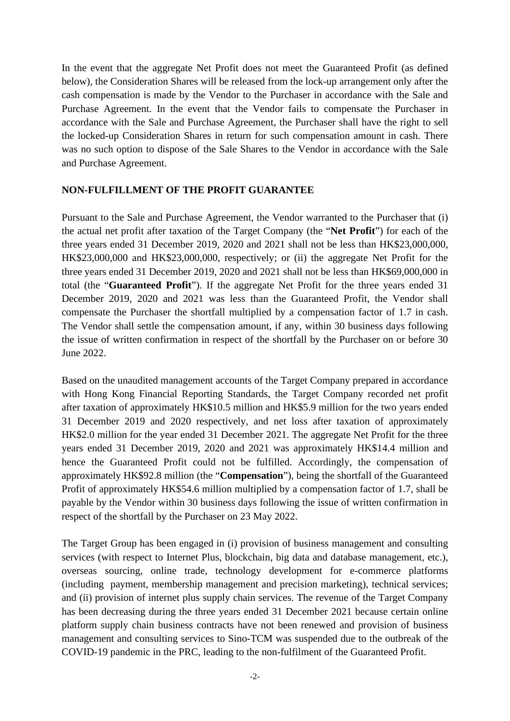In the event that the aggregate Net Profit does not meet the Guaranteed Profit (as defined below), the Consideration Shares will be released from the lock-up arrangement only after the cash compensation is made by the Vendor to the Purchaser in accordance with the Sale and Purchase Agreement. In the event that the Vendor fails to compensate the Purchaser in accordance with the Sale and Purchase Agreement, the Purchaser shall have the right to sell the locked-up Consideration Shares in return for such compensation amount in cash. There was no such option to dispose of the Sale Shares to the Vendor in accordance with the Sale and Purchase Agreement.

#### **NON-FULFILLMENT OF THE PROFIT GUARANTEE**

Pursuant to the Sale and Purchase Agreement, the Vendor warranted to the Purchaser that (i) the actual net profit after taxation of the Target Company (the "**Net Profit**") for each of the three years ended 31 December 2019, 2020 and 2021 shall not be less than HK\$23,000,000, HK\$23,000,000 and HK\$23,000,000, respectively; or (ii) the aggregate Net Profit for the three years ended 31 December 2019, 2020 and 2021 shall not be less than HK\$69,000,000 in total (the "**Guaranteed Profit**"). If the aggregate Net Profit for the three years ended 31 December 2019, 2020 and 2021 was less than the Guaranteed Profit, the Vendor shall compensate the Purchaser the shortfall multiplied by a compensation factor of 1.7 in cash. The Vendor shall settle the compensation amount, if any, within 30 business days following the issue of written confirmation in respect of the shortfall by the Purchaser on or before 30 June 2022.

Based on the unaudited management accounts of the Target Company prepared in accordance with Hong Kong Financial Reporting Standards, the Target Company recorded net profit after taxation of approximately HK\$10.5 million and HK\$5.9 million for the two years ended 31 December 2019 and 2020 respectively, and net loss after taxation of approximately HK\$2.0 million for the year ended 31 December 2021. The aggregate Net Profit for the three years ended 31 December 2019, 2020 and 2021 was approximately HK\$14.4 million and hence the Guaranteed Profit could not be fulfilled. Accordingly, the compensation of approximately HK\$92.8 million (the "**Compensation**"), being the shortfall of the Guaranteed Profit of approximately HK\$54.6 million multiplied by a compensation factor of 1.7, shall be payable by the Vendor within 30 business days following the issue of written confirmation in respect of the shortfall by the Purchaser on 23 May 2022.

The Target Group has been engaged in (i) provision of business management and consulting services (with respect to Internet Plus, blockchain, big data and database management, etc.), overseas sourcing, online trade, technology development for e-commerce platforms (including payment, membership management and precision marketing), technical services; and (ii) provision of internet plus supply chain services. The revenue of the Target Company has been decreasing during the three years ended 31 December 2021 because certain online platform supply chain business contracts have not been renewed and provision of business management and consulting services to Sino-TCM was suspended due to the outbreak of the COVID-19 pandemic in the PRC, leading to the non-fulfilment of the Guaranteed Profit.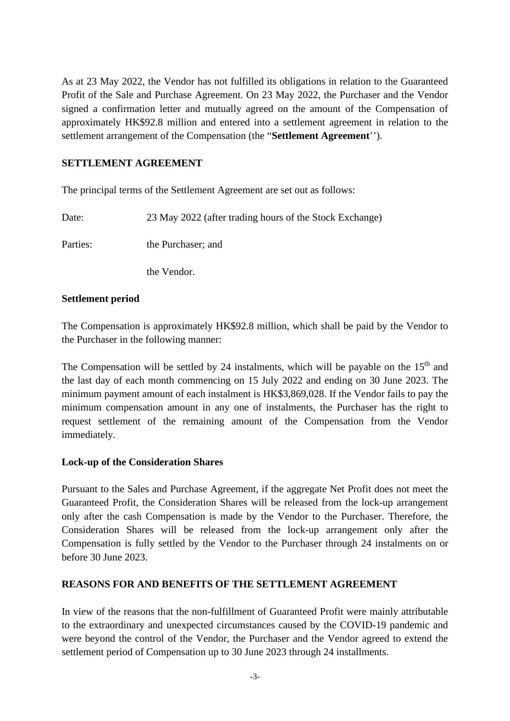As at 23 May 2022, the Vendor has not fulfilled its obligations in relation to the Guaranteed Profit of the Sale and Purchase Agreement. On 23 May 2022, the Purchaser and the Vendor signed a confirmation letter and mutually agreed on the amount of the Compensation of approximately HK\$92.8 million and entered into a settlement agreement in relation to the settlement arrangement of the Compensation (the "**Settlement Agreement**'').

#### **SETTLEMENT AGREEMENT**

The principal terms of the Settlement Agreement are set out as follows:

Date: 23 May 2022 (after trading hours of the Stock Exchange) Parties: the Purchaser; and

the Vendor.

#### **Settlement period**

The Compensation is approximately HK\$92.8 million, which shall be paid by the Vendor to the Purchaser in the following manner:

The Compensation will be settled by 24 instalments, which will be payable on the  $15<sup>th</sup>$  and the last day of each month commencing on 15 July 2022 and ending on 30 June 2023. The minimum payment amount of each instalment is HK\$3,869,028. If the Vendor fails to pay the minimum compensation amount in any one of instalments, the Purchaser has the right to request settlement of the remaining amount of the Compensation from the Vendor immediately.

#### **Lock-up of the Consideration Shares**

Pursuant to the Sales and Purchase Agreement, if the aggregate Net Profit does not meet the Guaranteed Profit, the Consideration Shares will be released from the lock-up arrangement only after the cash Compensation is made by the Vendor to the Purchaser. Therefore, the Consideration Shares will be released from the lock-up arrangement only after the Compensation is fully settled by the Vendor to the Purchaser through 24 instalments on or before 30 June 2023.

#### **REASONS FOR AND BENEFITS OF THE SETTLEMENT AGREEMENT**

In view of the reasons that the non-fulfillment of Guaranteed Profit were mainly attributable to the extraordinary and unexpected circumstances caused by the COVID-19 pandemic and were beyond the control of the Vendor, the Purchaser and the Vendor agreed to extend the settlement period of Compensation up to 30 June 2023 through 24 installments.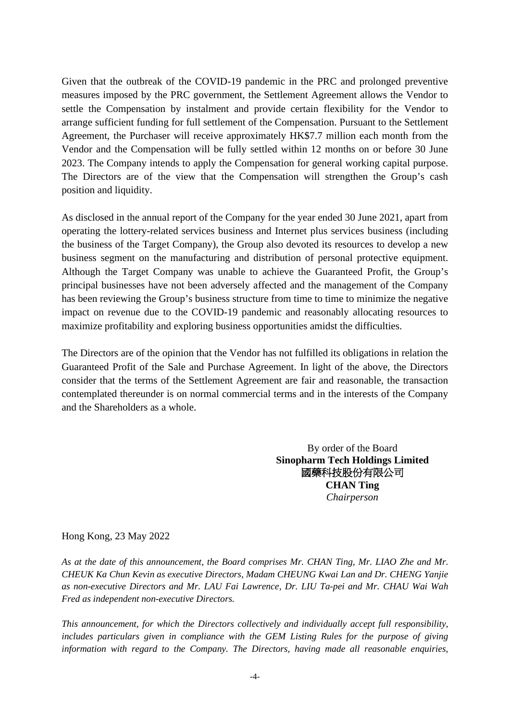Given that the outbreak of the COVID-19 pandemic in the PRC and prolonged preventive measures imposed by the PRC government, the Settlement Agreement allows the Vendor to settle the Compensation by instalment and provide certain flexibility for the Vendor to arrange sufficient funding for full settlement of the Compensation. Pursuant to the Settlement Agreement, the Purchaser will receive approximately HK\$7.7 million each month from the Vendor and the Compensation will be fully settled within 12 months on or before 30 June 2023. The Company intends to apply the Compensation for general working capital purpose. The Directors are of the view that the Compensation will strengthen the Group's cash position and liquidity.

As disclosed in the annual report of the Company for the year ended 30 June 2021, apart from operating the lottery-related services business and Internet plus services business (including the business of the Target Company), the Group also devoted its resources to develop a new business segment on the manufacturing and distribution of personal protective equipment. Although the Target Company was unable to achieve the Guaranteed Profit, the Group's principal businesses have not been adversely affected and the management of the Company has been reviewing the Group's business structure from time to time to minimize the negative impact on revenue due to the COVID-19 pandemic and reasonably allocating resources to maximize profitability and exploring business opportunities amidst the difficulties.

The Directors are of the opinion that the Vendor has not fulfilled its obligations in relation the Guaranteed Profit of the Sale and Purchase Agreement. In light of the above, the Directors consider that the terms of the Settlement Agreement are fair and reasonable, the transaction contemplated thereunder is on normal commercial terms and in the interests of the Company and the Shareholders as a whole.

> By order of the Board **Sinopharm Tech Holdings Limited** 國藥科技股份有限公司 **CHAN Ting**  *Chairperson*

Hong Kong, 23 May 2022

*As at the date of this announcement, the Board comprises Mr. CHAN Ting, Mr. LIAO Zhe and Mr. CHEUK Ka Chun Kevin as executive Directors, Madam CHEUNG Kwai Lan and Dr. CHENG Yanjie as non-executive Directors and Mr. LAU Fai Lawrence, Dr. LIU Ta-pei and Mr. CHAU Wai Wah Fred as independent non-executive Directors.*

*This announcement, for which the Directors collectively and individually accept full responsibility, includes particulars given in compliance with the GEM Listing Rules for the purpose of giving information with regard to the Company. The Directors, having made all reasonable enquiries,*